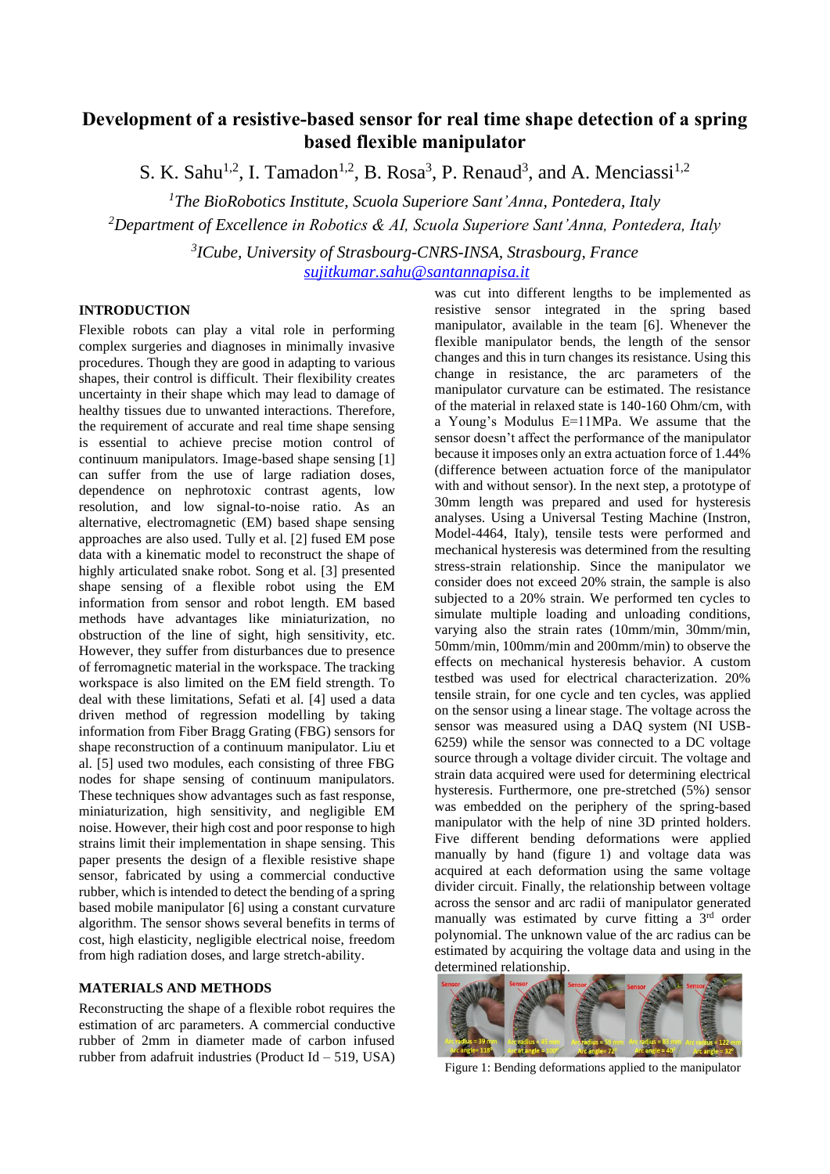# **Development of a resistive-based sensor for real time shape detection of a spring based flexible manipulator**

S. K. Sahu<sup>1,2</sup>, I. Tamadon<sup>1,2</sup>, B. Rosa<sup>3</sup>, P. Renaud<sup>3</sup>, and A. Menciassi<sup>1,2</sup>

*<sup>1</sup>The BioRobotics Institute, Scuola Superiore Sant'Anna, Pontedera, Italy <sup>2</sup>Department of Excellence in Robotics & AI, Scuola Superiore Sant'Anna, Pontedera, Italy*

> *3 ICube, University of Strasbourg-CNRS-INSA, Strasbourg, France [sujitkumar.sahu@santannapisa.it](mailto:sujitkumar.sahu@santannapisa.it)*

## **INTRODUCTION**

Flexible robots can play a vital role in performing complex surgeries and diagnoses in minimally invasive procedures. Though they are good in adapting to various shapes, their control is difficult. Their flexibility creates uncertainty in their shape which may lead to damage of healthy tissues due to unwanted interactions. Therefore, the requirement of accurate and real time shape sensing is essential to achieve precise motion control of continuum manipulators. Image-based shape sensing [1] can suffer from the use of large radiation doses, dependence on nephrotoxic contrast agents, low resolution, and low signal-to-noise ratio. As an alternative, electromagnetic (EM) based shape sensing approaches are also used. Tully et al. [2] fused EM pose data with a kinematic model to reconstruct the shape of highly articulated snake robot. Song et al. [3] presented shape sensing of a flexible robot using the EM information from sensor and robot length. EM based methods have advantages like miniaturization, no obstruction of the line of sight, high sensitivity, etc. However, they suffer from disturbances due to presence of ferromagnetic material in the workspace. The tracking workspace is also limited on the EM field strength. To deal with these limitations, Sefati et al. [4] used a data driven method of regression modelling by taking information from Fiber Bragg Grating (FBG) sensors for shape reconstruction of a continuum manipulator. Liu et al. [5] used two modules, each consisting of three FBG nodes for shape sensing of continuum manipulators. These techniques show advantages such as fast response, miniaturization, high sensitivity, and negligible EM noise. However, their high cost and poor response to high strains limit their implementation in shape sensing. This paper presents the design of a flexible resistive shape sensor, fabricated by using a commercial conductive rubber, which is intended to detect the bending of a spring based mobile manipulator [6] using a constant curvature algorithm. The sensor shows several benefits in terms of cost, high elasticity, negligible electrical noise, freedom from high radiation doses, and large stretch-ability.

#### **MATERIALS AND METHODS**

Reconstructing the shape of a flexible robot requires the estimation of arc parameters. A commercial conductive rubber of 2mm in diameter made of carbon infused rubber from adafruit industries (Product Id – 519, USA)

was cut into different lengths to be implemented as resistive sensor integrated in the spring based manipulator, available in the team [6]. Whenever the flexible manipulator bends, the length of the sensor changes and this in turn changes its resistance. Using this change in resistance, the arc parameters of the manipulator curvature can be estimated. The resistance of the material in relaxed state is 140-160 Ohm/cm, with a Young's Modulus E=11MPa. We assume that the sensor doesn't affect the performance of the manipulator because it imposes only an extra actuation force of 1.44% (difference between actuation force of the manipulator with and without sensor). In the next step, a prototype of 30mm length was prepared and used for hysteresis analyses. Using a Universal Testing Machine (Instron, Model-4464, Italy), tensile tests were performed and mechanical hysteresis was determined from the resulting stress-strain relationship. Since the manipulator we consider does not exceed 20% strain, the sample is also subjected to a 20% strain. We performed ten cycles to simulate multiple loading and unloading conditions, varying also the strain rates (10mm/min, 30mm/min, 50mm/min, 100mm/min and 200mm/min) to observe the effects on mechanical hysteresis behavior. A custom testbed was used for electrical characterization. 20% tensile strain, for one cycle and ten cycles, was applied on the sensor using a linear stage. The voltage across the sensor was measured using a DAQ system (NI USB-6259) while the sensor was connected to a DC voltage source through a voltage divider circuit. The voltage and strain data acquired were used for determining electrical hysteresis. Furthermore, one pre-stretched (5%) sensor was embedded on the periphery of the spring-based manipulator with the help of nine 3D printed holders. Five different bending deformations were applied manually by hand (figure 1) and voltage data was acquired at each deformation using the same voltage divider circuit. Finally, the relationship between voltage across the sensor and arc radii of manipulator generated manually was estimated by curve fitting a 3<sup>rd</sup> order polynomial. The unknown value of the arc radius can be estimated by acquiring the voltage data and using in the determined relationship.



Figure 1: Bending deformations applied to the manipulator